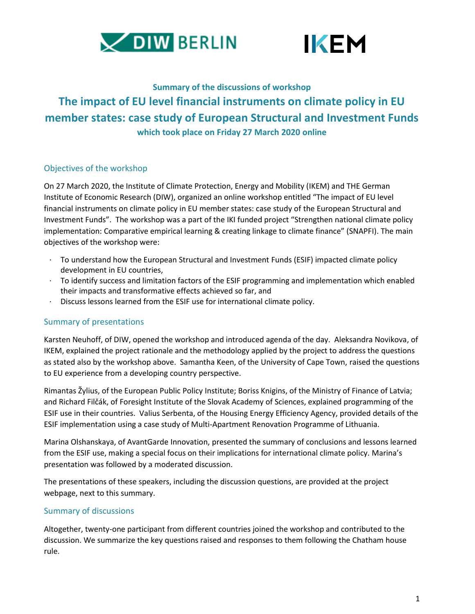



# **Summary of the discussions of workshop The impact of EU level financial instruments on climate policy in EU member states: case study of European Structural and Investment Funds which took place on Friday 27 March 2020 online**

# Objectives of the workshop

On 27 March 2020, the Institute of Climate Protection, Energy and Mobility (IKEM) and THE German Institute of Economic Research (DIW), organized an online workshop entitled "The impact of EU level financial instruments on climate policy in EU member states: case study of the European Structural and Investment Funds". The workshop was a part of the IKI funded project "Strengthen national climate policy implementation: Comparative empirical learning & creating linkage to climate finance" (SNAPFI). The main objectives of the workshop were:

- · To understand how the European Structural and Investment Funds (ESIF) impacted climate policy development in EU countries,
- · To identify success and limitation factors of the ESIF programming and implementation which enabled their impacts and transformative effects achieved so far, and
- · Discuss lessons learned from the ESIF use for international climate policy.

# Summary of presentations

Karsten Neuhoff, of DIW, opened the workshop and introduced agenda of the day. Aleksandra Novikova, of IKEM, explained the project rationale and the methodology applied by the project to address the questions as stated also by the workshop above. Samantha Keen, of the University of Cape Town, raised the questions to EU experience from a developing country perspective.

Rimantas Žylius, of the European Public Policy Institute; Boriss Knigins, of the Ministry of Finance of Latvia; and Richard Filčák, of Foresight Institute of the Slovak Academy of Sciences, explained programming of the ESIF use in their countries. Valius Serbenta, of the Housing Energy Efficiency Agency, provided details of the ESIF implementation using a case study of Multi-Apartment Renovation Programme of Lithuania.

Marina Olshanskaya, of AvantGarde Innovation, presented the summary of conclusions and lessons learned from the ESIF use, making a special focus on their implications for international climate policy. Marina's presentation was followed by a moderated discussion.

The presentations of these speakers, including the discussion questions, are provided at the project webpage, next to this summary.

# Summary of discussions

Altogether, twenty-one participant from different countries joined the workshop and contributed to the discussion. We summarize the key questions raised and responses to them following the Chatham house rule.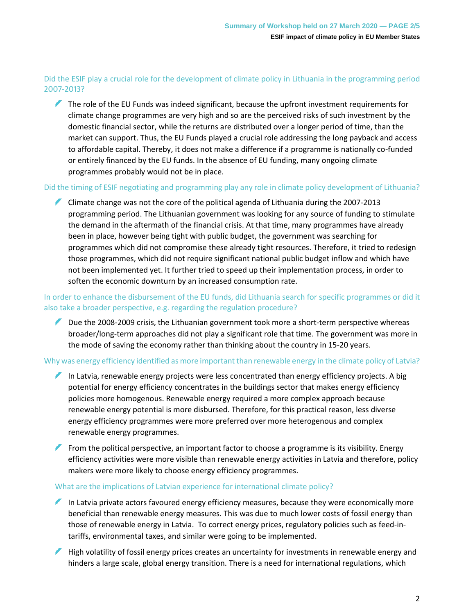# Did the ESIF play a crucial role for the development of climate policy in Lithuania in the programming period 2007-2013?

The role of the EU Funds was indeed significant, because the upfront investment requirements for climate change programmes are very high and so are the perceived risks of such investment by the domestic financial sector, while the returns are distributed over a longer period of time, than the market can support. Thus, the EU Funds played a crucial role addressing the long payback and access to affordable capital. Thereby, it does not make a difference if a programme is nationally co-funded or entirely financed by the EU funds. In the absence of EU funding, many ongoing climate programmes probably would not be in place.

### Did the timing of ESIF negotiating and programming play any role in climate policy development of Lithuania?

Climate change was not the core of the political agenda of Lithuania during the 2007-2013 programming period. The Lithuanian government was looking for any source of funding to stimulate the demand in the aftermath of the financial crisis. At that time, many programmes have already been in place, however being tight with public budget, the government was searching for programmes which did not compromise these already tight resources. Therefore, it tried to redesign those programmes, which did not require significant national public budget inflow and which have not been implemented yet. It further tried to speed up their implementation process, in order to soften the economic downturn by an increased consumption rate.

### In order to enhance the disbursement of the EU funds, did Lithuania search for specific programmes or did it also take a broader perspective, e.g. regarding the regulation procedure?

Due the 2008-2009 crisis, the Lithuanian government took more a short-term perspective whereas broader/long-term approaches did not play a significant role that time. The government was more in the mode of saving the economy rather than thinking about the country in 15-20 years.

#### Why was energy efficiency identified as more important than renewable energy in the climate policy of Latvia?

- In Latvia, renewable energy projects were less concentrated than energy efficiency projects. A big potential for energy efficiency concentrates in the buildings sector that makes energy efficiency policies more homogenous. Renewable energy required a more complex approach because renewable energy potential is more disbursed. Therefore, for this practical reason, less diverse energy efficiency programmes were more preferred over more heterogenous and complex renewable energy programmes.
- From the political perspective, an important factor to choose a programme is its visibility. Energy efficiency activities were more visible than renewable energy activities in Latvia and therefore, policy makers were more likely to choose energy efficiency programmes.

#### What are the implications of Latvian experience for international climate policy?

- In Latvia private actors favoured energy efficiency measures, because they were economically more beneficial than renewable energy measures. This was due to much lower costs of fossil energy than those of renewable energy in Latvia. To correct energy prices, regulatory policies such as feed-intariffs, environmental taxes, and similar were going to be implemented.
- High volatility of fossil energy prices creates an uncertainty for investments in renewable energy and hinders a large scale, global energy transition. There is a need for international regulations, which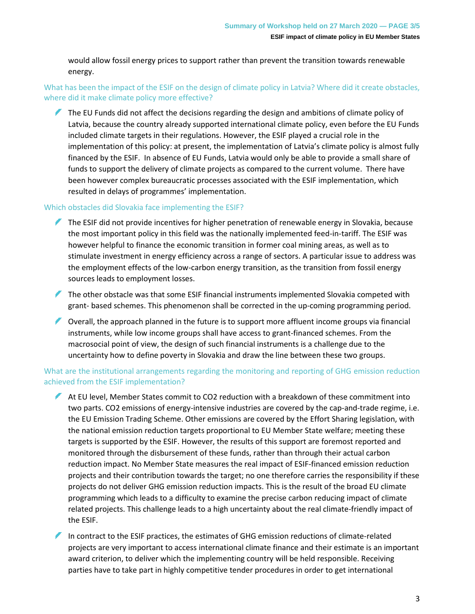would allow fossil energy prices to support rather than prevent the transition towards renewable energy.

# What has been the impact of the ESIF on the design of climate policy in Latvia? Where did it create obstacles, where did it make climate policy more effective?

The EU Funds did not affect the decisions regarding the design and ambitions of climate policy of Latvia, because the country already supported international climate policy, even before the EU Funds included climate targets in their regulations. However, the ESIF played a crucial role in the implementation of this policy: at present, the implementation of Latvia's climate policy is almost fully financed by the ESIF. In absence of EU Funds, Latvia would only be able to provide a small share of funds to support the delivery of climate projects as compared to the current volume. There have been however complex bureaucratic processes associated with the ESIF implementation, which resulted in delays of programmes' implementation.

### Which obstacles did Slovakia face implementing the ESIF?

- The ESIF did not provide incentives for higher penetration of renewable energy in Slovakia, because the most important policy in this field was the nationally implemented feed-in-tariff. The ESIF was however helpful to finance the economic transition in former coal mining areas, as well as to stimulate investment in energy efficiency across a range of sectors. A particular issue to address was the employment effects of the low-carbon energy transition, as the transition from fossil energy sources leads to employment losses.
- The other obstacle was that some ESIF financial instruments implemented Slovakia competed with grant- based schemes. This phenomenon shall be corrected in the up-coming programming period.
- Overall, the approach planned in the future is to support more affluent income groups via financial instruments, while low income groups shall have access to grant-financed schemes. From the macrosocial point of view, the design of such financial instruments is a challenge due to the uncertainty how to define poverty in Slovakia and draw the line between these two groups.

# What are the institutional arrangements regarding the monitoring and reporting of GHG emission reduction achieved from the ESIF implementation?

- At EU level, Member States commit to CO2 reduction with a breakdown of these commitment into two parts. CO2 emissions of energy-intensive industries are covered by the cap-and-trade regime, i.e. the EU Emission Trading Scheme. Other emissions are covered by the Effort Sharing legislation, with the national emission reduction targets proportional to EU Member State welfare; meeting these targets is supported by the ESIF. However, the results of this support are foremost reported and monitored through the disbursement of these funds, rather than through their actual carbon reduction impact. No Member State measures the real impact of ESIF-financed emission reduction projects and their contribution towards the target; no one therefore carries the responsibility if these projects do not deliver GHG emission reduction impacts. This is the result of the broad EU climate programming which leads to a difficulty to examine the precise carbon reducing impact of climate related projects. This challenge leads to a high uncertainty about the real climate-friendly impact of the ESIF.
- In contract to the ESIF practices, the estimates of GHG emission reductions of climate-related projects are very important to access international climate finance and their estimate is an important award criterion, to deliver which the implementing country will be held responsible. Receiving parties have to take part in highly competitive tender procedures in order to get international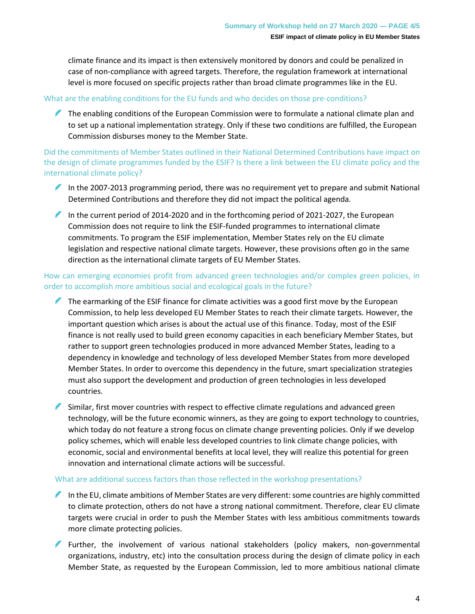climate finance and its impact is then extensively monitored by donors and could be penalized in case of non-compliance with agreed targets. Therefore, the regulation framework at international level is more focused on specific projects rather than broad climate programmes like in the EU.

### What are the enabling conditions for the EU funds and who decides on those pre-conditions?

The enabling conditions of the European Commission were to formulate a national climate plan and to set up a national implementation strategy. Only if these two conditions are fulfilled, the European Commission disburses money to the Member State.

Did the commitments of Member States outlined in their National Determined Contributions have impact on the design of climate programmes funded by the ESIF? Is there a link between the EU climate policy and the international climate policy?

- In the 2007-2013 programming period, there was no requirement yet to prepare and submit National Determined Contributions and therefore they did not impact the political agenda.
- In the current period of 2014-2020 and in the forthcoming period of 2021-2027, the European Commission does not require to link the ESIF-funded programmes to international climate commitments. To program the ESIF implementation, Member States rely on the EU climate legislation and respective national climate targets. However, these provisions often go in the same direction as the international climate targets of EU Member States.

### How can emerging economies profit from advanced green technologies and/or complex green policies, in order to accomplish more ambitious social and ecological goals in the future?

- The earmarking of the ESIF finance for climate activities was a good first move by the European Commission, to help less developed EU Member States to reach their climate targets. However, the important question which arises is about the actual use of this finance. Today, most of the ESIF finance is not really used to build green economy capacities in each beneficiary Member States, but rather to support green technologies produced in more advanced Member States, leading to a dependency in knowledge and technology of less developed Member States from more developed Member States. In order to overcome this dependency in the future, smart specialization strategies must also support the development and production of green technologies in less developed countries.
- Similar, first mover countries with respect to effective climate regulations and advanced green technology, will be the future economic winners, as they are going to export technology to countries, which today do not feature a strong focus on climate change preventing policies. Only if we develop policy schemes, which will enable less developed countries to link climate change policies, with economic, social and environmental benefits at local level, they will realize this potential for green innovation and international climate actions will be successful.

### What are additional success factors than those reflected in the workshop presentations?

- In the EU, climate ambitions of Member States are very different: some countries are highly committed to climate protection, others do not have a strong national commitment. Therefore, clear EU climate targets were crucial in order to push the Member States with less ambitious commitments towards more climate protecting policies.
- Further, the involvement of various national stakeholders (policy makers, non-governmental organizations, industry, etc) into the consultation process during the design of climate policy in each Member State, as requested by the European Commission, led to more ambitious national climate